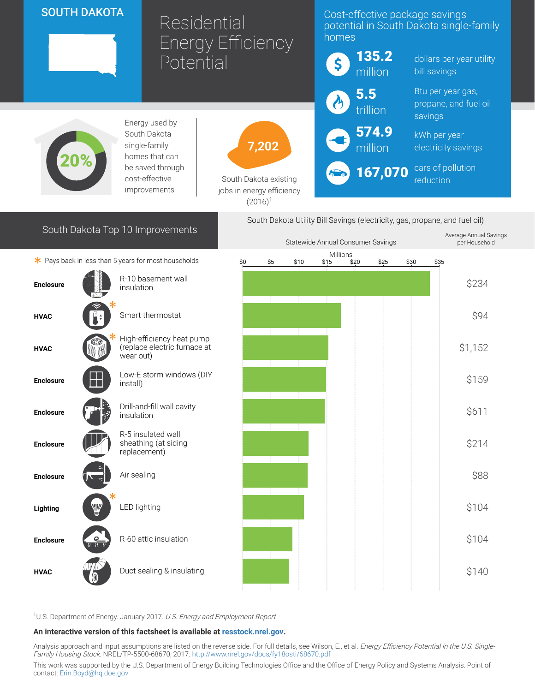## SOUTH DAKOTA

# Residential Energy Efficiency **Potential**

### Cost-effective package savings potential in South Dakota single-family homes



South Dakota Top 10 Improvements

Energy used by South Dakota single-family homes that can be saved through cost-effective improvements



South Dakota existing jobs in energy efficiency  $(2016)^1$ 



dollars per year utility bill savings

Btu per year gas, propane, and fuel oil savings

kWh per year electricity savings

cars of pollution reduction

Average Annual Savings

South Dakota Utility Bill Savings (electricity, gas, propane, and fuel oil)

167,070

|                                                      |                                                                        | Statewide Annual Consumer Savings |                                                                |  |  |  |  |  |                 | per Household |
|------------------------------------------------------|------------------------------------------------------------------------|-----------------------------------|----------------------------------------------------------------|--|--|--|--|--|-----------------|---------------|
| * Pays back in less than 5 years for most households |                                                                        |                                   | Millions<br>\$0<br>\$20<br>\$30<br>\$5<br>\$10<br>\$15<br>\$25 |  |  |  |  |  |                 |               |
|                                                      |                                                                        |                                   |                                                                |  |  |  |  |  | $\frac{$35}{2}$ |               |
| <b>Enclosure</b>                                     | R-10 basement wall<br>insulation                                       |                                   |                                                                |  |  |  |  |  |                 | \$234         |
| <b>HVAC</b>                                          | Smart thermostat                                                       |                                   |                                                                |  |  |  |  |  |                 | \$94          |
| <b>HVAC</b>                                          | High-efficiency heat pump<br>(replace electric furnace at<br>wear out) |                                   |                                                                |  |  |  |  |  |                 | \$1,152       |
| <b>Enclosure</b>                                     | Low-E storm windows (DIY<br>install)                                   |                                   |                                                                |  |  |  |  |  |                 | \$159         |
| <b>Enclosure</b>                                     | Drill-and-fill wall cavity<br>insulation                               |                                   |                                                                |  |  |  |  |  |                 | \$611         |
| <b>Enclosure</b>                                     | R-5 insulated wall<br>sheathing (at siding<br>replacement)             |                                   |                                                                |  |  |  |  |  |                 | \$214         |
| <b>Enclosure</b>                                     | Air sealing                                                            |                                   |                                                                |  |  |  |  |  |                 | \$88          |
| W<br>Lighting                                        | LED lighting                                                           |                                   |                                                                |  |  |  |  |  |                 | \$104         |
| $\frac{Q}{\alpha}$<br><b>Enclosure</b>               | R-60 attic insulation                                                  |                                   |                                                                |  |  |  |  |  |                 | \$104         |
| <b>HVAC</b>                                          | Duct sealing & insulating                                              |                                   |                                                                |  |  |  |  |  |                 | \$140         |
|                                                      |                                                                        |                                   |                                                                |  |  |  |  |  |                 |               |

<sup>1</sup>U.S. Department of Energy. January 2017. U.S. Energy and Employment Report

#### An interactive version of this factsheet is available at [resstock.nrel.gov.](https://resstock.nrel.gov/)

Analysis approach and input assumptions are listed on the reverse side. For full details, see Wilson, E., et al. *Energy Efficiency Potential in the U.S. Single*-Family Housing Stock. NREL/TP-5500-68670, 2017. <http://www.nrel.gov/docs/fy18osti/68670.pdf>

This work was supported by the U.S. Department of Energy Building Technologies Office and the Office of Energy Policy and Systems Analysis. Point of contact: [Erin.Boyd@hq.doe.gov](mailto:Erin.Boyd@hq.doe.gov)